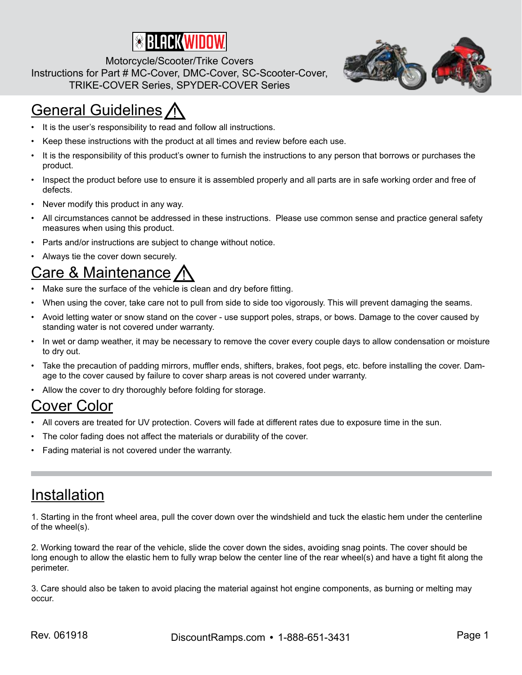

Motorcycle/Scooter/Trike Covers Instructions for Part # MC-Cover, DMC-Cover, SC-Scooter-Cover, TRIKE-COVER Series, SPYDER-COVER Series

# **General Guidelines /**

- It is the user's responsibility to read and follow all instructions.
- Keep these instructions with the product at all times and review before each use.
- It is the responsibility of this product's owner to furnish the instructions to any person that borrows or purchases the product.
- Inspect the product before use to ensure it is assembled properly and all parts are in safe working order and free of defects.
- Never modify this product in any way.
- All circumstances cannot be addressed in these instructions. Please use common sense and practice general safety measures when using this product.
- Parts and/or instructions are subject to change without notice.
- Always tie the cover down securely.

### Care & Maintenance

- Make sure the surface of the vehicle is clean and dry before fitting.
- When using the cover, take care not to pull from side to side too vigorously. This will prevent damaging the seams.
- Avoid letting water or snow stand on the cover use support poles, straps, or bows. Damage to the cover caused by standing water is not covered under warranty.
- In wet or damp weather, it may be necessary to remove the cover every couple days to allow condensation or moisture to dry out.
- Take the precaution of padding mirrors, muffler ends, shifters, brakes, foot pegs, etc. before installing the cover. Damage to the cover caused by failure to cover sharp areas is not covered under warranty.
- Allow the cover to dry thoroughly before folding for storage.

#### Cover Color

- All covers are treated for UV protection. Covers will fade at different rates due to exposure time in the sun.
- The color fading does not affect the materials or durability of the cover.
- Fading material is not covered under the warranty.

#### Installation

1. Starting in the front wheel area, pull the cover down over the windshield and tuck the elastic hem under the centerline of the wheel(s).

2. Working toward the rear of the vehicle, slide the cover down the sides, avoiding snag points. The cover should be long enough to allow the elastic hem to fully wrap below the center line of the rear wheel(s) and have a tight fit along the perimeter.

3. Care should also be taken to avoid placing the material against hot engine components, as burning or melting may occur.